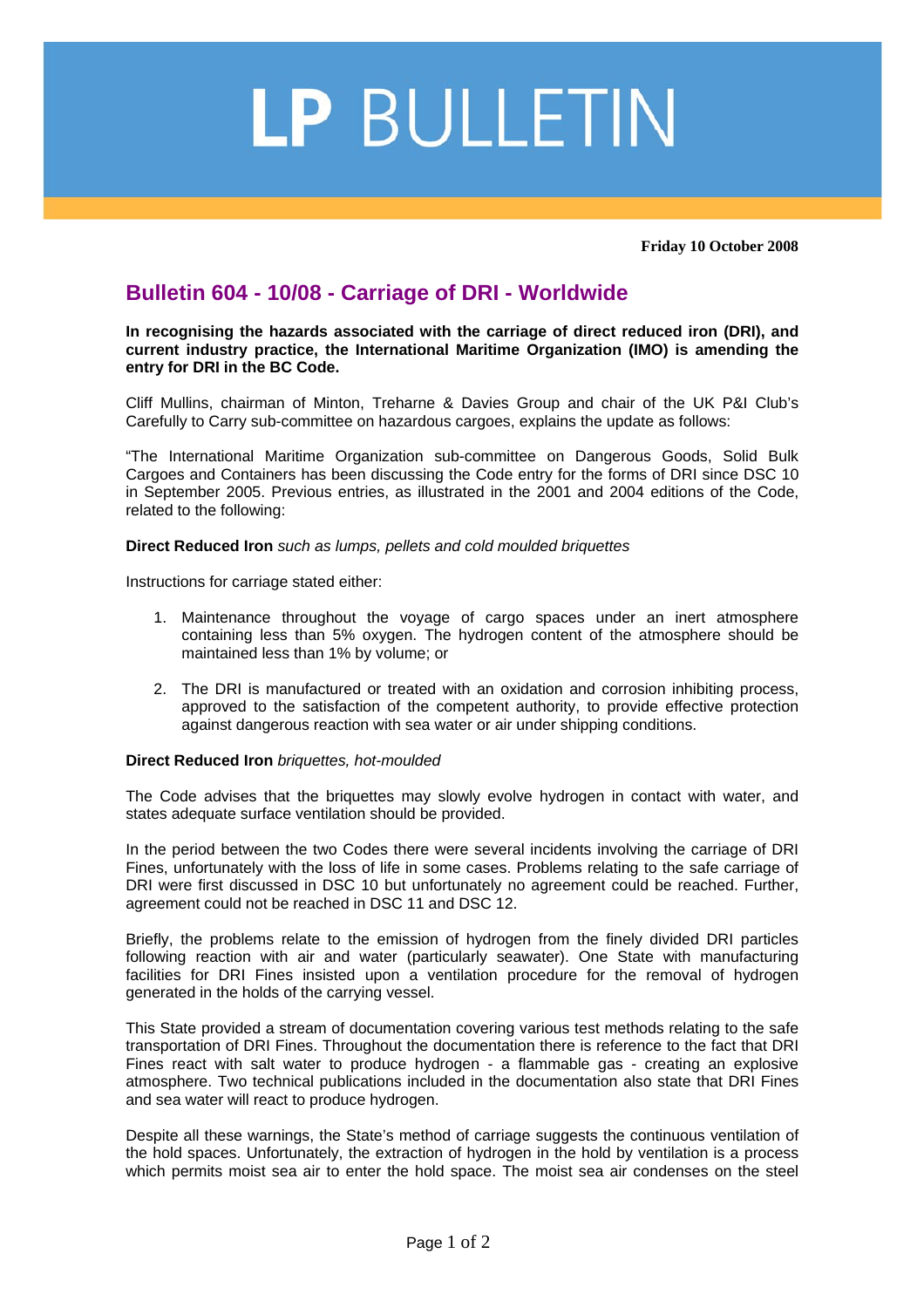## LP BULLETIN

**Friday 10 October 2008** 

## **Bulletin 604 - 10/08 - Carriage of DRI - Worldwide**

**In recognising the hazards associated with the carriage of direct reduced iron (DRI), and current industry practice, the International Maritime Organization (IMO) is amending the entry for DRI in the BC Code.** 

Cliff Mullins, chairman of Minton, Treharne & Davies Group and chair of the UK P&I Club's Carefully to Carry sub-committee on hazardous cargoes, explains the update as follows:

"The International Maritime Organization sub-committee on Dangerous Goods, Solid Bulk Cargoes and Containers has been discussing the Code entry for the forms of DRI since DSC 10 in September 2005. Previous entries, as illustrated in the 2001 and 2004 editions of the Code, related to the following:

**Direct Reduced Iron** *such as lumps, pellets and cold moulded briquettes* 

Instructions for carriage stated either:

- 1. Maintenance throughout the voyage of cargo spaces under an inert atmosphere containing less than 5% oxygen. The hydrogen content of the atmosphere should be maintained less than 1% by volume; or
- 2. The DRI is manufactured or treated with an oxidation and corrosion inhibiting process, approved to the satisfaction of the competent authority, to provide effective protection against dangerous reaction with sea water or air under shipping conditions.

## **Direct Reduced Iron** *briquettes, hot-moulded*

The Code advises that the briquettes may slowly evolve hydrogen in contact with water, and states adequate surface ventilation should be provided.

In the period between the two Codes there were several incidents involving the carriage of DRI Fines, unfortunately with the loss of life in some cases. Problems relating to the safe carriage of DRI were first discussed in DSC 10 but unfortunately no agreement could be reached. Further, agreement could not be reached in DSC 11 and DSC 12.

Briefly, the problems relate to the emission of hydrogen from the finely divided DRI particles following reaction with air and water (particularly seawater). One State with manufacturing facilities for DRI Fines insisted upon a ventilation procedure for the removal of hydrogen generated in the holds of the carrying vessel.

This State provided a stream of documentation covering various test methods relating to the safe transportation of DRI Fines. Throughout the documentation there is reference to the fact that DRI Fines react with salt water to produce hydrogen - a flammable gas - creating an explosive atmosphere. Two technical publications included in the documentation also state that DRI Fines and sea water will react to produce hydrogen.

Despite all these warnings, the State's method of carriage suggests the continuous ventilation of the hold spaces. Unfortunately, the extraction of hydrogen in the hold by ventilation is a process which permits moist sea air to enter the hold space. The moist sea air condenses on the steel